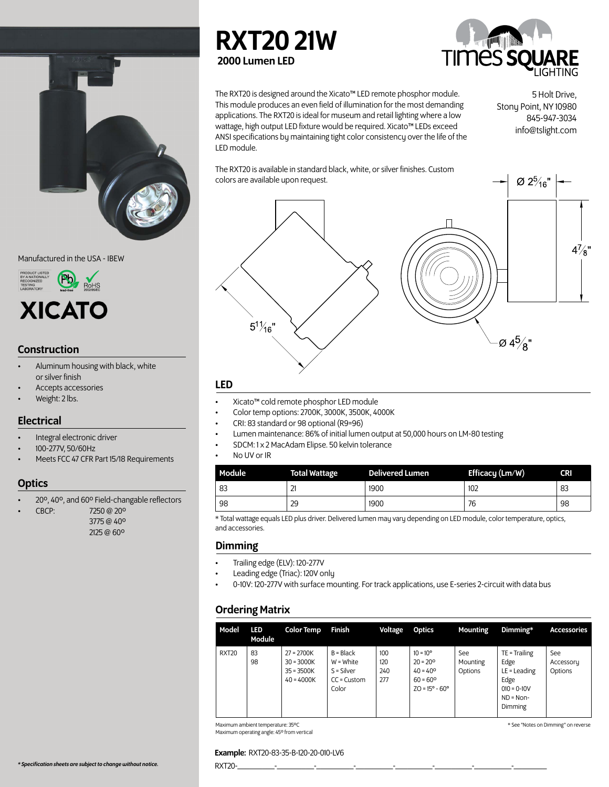

Manufactured in the USA - IBEW



# Construction

- Aluminum housing with black, white or silver finish
- Accepts accessories
- Weight: 2 lbs.

# **Electrical**

- Integral electronic driver
- 100-277V, 50/60Hz
- Meets FCC 47 CFR Part 15/18 Requirements

# **Optics**

• 20º, 40º, and 60º Field-changable reflectors

• CBCP: 7250 @ 20º

 3775 @ 40º 2125 @ 60º





The RXT20 is designed around the Xicato™ LED remote phosphor module. This module produces an even field of illumination for the most demanding applications. The RXT20 is ideal for museum and retail lighting where a low wattage, high output LED fixture would be required. Xicato™ LEDs exceed ANSI specifications by maintaining tight color consistency over the life of the LED module.

5 Holt Drive, Stony Point, NY 10980 845-947-3034 info@tslight.com

Ø 2 $\frac{5}{16}$ "

The RXT20 is available in standard black, white, or silver finishes. Custom colors are available upon request.



# LED

- Xicato™ cold remote phosphor LED module
- Color temp options: 2700K, 3000K, 3500K, 4000K
- CRI: 83 standard or 98 optional (R9=96)
- Lumen maintenance: 86% of initial lumen output at 50,000 hours on LM-80 testing
- SDCM: 1 x 2 MacAdam Elipse. 50 kelvin tolerance
- No UV or IR

| Module | <b>Total Wattage</b> | <b>Delivered Lumen</b> | Efficacy (Lm/W) | <b>CRI</b> |
|--------|----------------------|------------------------|-----------------|------------|
| 83     | ▵                    | 1900                   | 102             | 83         |
| 98     | 29                   | 1900                   | 76              | 98         |

\* Total wattage equals LED plus driver. Delivered lumen may vary depending on LED module, color temperature, optics, and accessories.

# Dimming

- Trailing edge (ELV): 120-277V
- Leading edge (Triac): 120V only
- 0-10V: 120-277V with surface mounting. For track applications, use E-series 2-circuit with data bus

# Ordering Matrix

| Model        | <b>LED</b><br>Module | <b>Color Temp</b>                                            | Finish                                                               | Voltage                  | Optics                                                                                                             | Mounting                   | Dimming*                                                                                     | <b>Accessories</b>          |
|--------------|----------------------|--------------------------------------------------------------|----------------------------------------------------------------------|--------------------------|--------------------------------------------------------------------------------------------------------------------|----------------------------|----------------------------------------------------------------------------------------------|-----------------------------|
| <b>RXT20</b> | 83<br>98             | $27 = 2700K$<br>$30 = 3000K$<br>$35 = 3500K$<br>$40 = 4000K$ | $B = Black$<br>$W = White$<br>$S = Silver$<br>$CC =$ Custom<br>Color | 100<br>120<br>240<br>277 | $10 = 10^{\circ}$<br>$20 = 20^{\circ}$<br>$40 = 40^{\circ}$<br>$60 = 60^{\circ}$<br>$ZO = 15^{\circ} - 60^{\circ}$ | See<br>Mounting<br>Options | $TE = Trailing$<br>Edge<br>$LE =$ Leading<br>Edge<br>$010 = 0-10V$<br>$ND = Non-$<br>Dimming | See<br>Accessory<br>Options |

Maximum ambient temperature: 35ºC Maximum operating angle: 45º from vertical \* See "Notes on Dimming" on reverse

### Example: RXT20-83-35-B-120-20-010-LV6

*\* Specification sheets are subject to change without notice.* RXT20-\_\_\_\_\_\_\_\_\_-\_\_\_\_\_\_\_\_\_-\_\_\_\_\_\_\_\_\_-\_\_\_\_\_\_\_\_\_-\_\_\_\_\_\_\_\_\_-\_\_\_\_\_\_\_\_\_-\_\_\_\_\_\_\_\_\_-\_\_\_\_\_\_\_\_